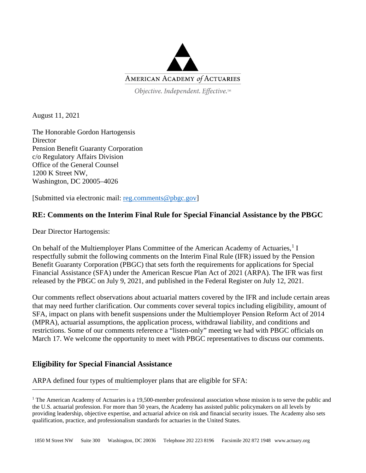

Objective. Independent. Effective.™

August 11, 2021

The Honorable Gordon Hartogensis **Director** Pension Benefit Guaranty Corporation c/o Regulatory Affairs Division Office of the General Counsel 1200 K Street NW, Washington, DC 20005–4026

[Submitted via electronic mail: [reg.comments@pbgc.gov\]](mailto:reg.comments@pbgc.gov)

## **RE: Comments on the Interim Final Rule for Special Financial Assistance by the PBGC**

Dear Director Hartogensis:

On behalf of the Multiemployer Plans Committee of the American Academy of Actuaries,<sup>[1](#page-0-0)</sup> I respectfully submit the following comments on the Interim Final Rule (IFR) issued by the Pension Benefit Guaranty Corporation (PBGC) that sets forth the requirements for applications for Special Financial Assistance (SFA) under the American Rescue Plan Act of 2021 (ARPA). The IFR was first released by the PBGC on July 9, 2021, and published in the Federal Register on July 12, 2021.

Our comments reflect observations about actuarial matters covered by the IFR and include certain areas that may need further clarification. Our comments cover several topics including eligibility, amount of SFA, impact on plans with benefit suspensions under the Multiemployer Pension Reform Act of 2014 (MPRA), actuarial assumptions, the application process, withdrawal liability, and conditions and restrictions. Some of our comments reference a "listen-only" meeting we had with PBGC officials on March 17. We welcome the opportunity to meet with PBGC representatives to discuss our comments.

# **Eligibility for Special Financial Assistance**

ARPA defined four types of multiemployer plans that are eligible for SFA:

<span id="page-0-0"></span><sup>&</sup>lt;sup>1</sup> The American Academy of Actuaries is a 19,500-member professional association whose mission is to serve the public and the U.S. actuarial profession. For more than 50 years, the Academy has assisted public policymakers on all levels by providing leadership, objective expertise, and actuarial advice on risk and financial security issues. The Academy also sets qualification, practice, and professionalism standards for actuaries in the United States.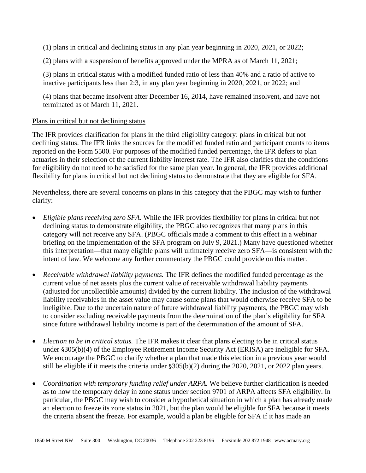(1) plans in critical and declining status in any plan year beginning in 2020, 2021, or 2022;

(2) plans with a suspension of benefits approved under the MPRA as of March 11, 2021;

(3) plans in critical status with a modified funded ratio of less than 40% and a ratio of active to inactive participants less than 2:3, in any plan year beginning in 2020, 2021, or 2022; and

(4) plans that became insolvent after December 16, 2014, have remained insolvent, and have not terminated as of March 11, 2021.

### Plans in critical but not declining status

The IFR provides clarification for plans in the third eligibility category: plans in critical but not declining status. The IFR links the sources for the modified funded ratio and participant counts to items reported on the Form 5500. For purposes of the modified funded percentage, the IFR defers to plan actuaries in their selection of the current liability interest rate. The IFR also clarifies that the conditions for eligibility do not need to be satisfied for the same plan year. In general, the IFR provides additional flexibility for plans in critical but not declining status to demonstrate that they are eligible for SFA.

Nevertheless, there are several concerns on plans in this category that the PBGC may wish to further clarify:

- *Eligible plans receiving zero SFA*. While the IFR provides flexibility for plans in critical but not declining status to demonstrate eligibility, the PBGC also recognizes that many plans in this category will not receive any SFA. (PBGC officials made a comment to this effect in a webinar briefing on the implementation of the SFA program on July 9, 2021.) Many have questioned whether this interpretation—that many eligible plans will ultimately receive zero SFA—is consistent with the intent of law. We welcome any further commentary the PBGC could provide on this matter.
- *Receivable withdrawal liability payments.* The IFR defines the modified funded percentage as the current value of net assets plus the current value of receivable withdrawal liability payments (adjusted for uncollectible amounts) divided by the current liability. The inclusion of the withdrawal liability receivables in the asset value may cause some plans that would otherwise receive SFA to be ineligible. Due to the uncertain nature of future withdrawal liability payments, the PBGC may wish to consider excluding receivable payments from the determination of the plan's eligibility for SFA since future withdrawal liability income is part of the determination of the amount of SFA.
- *Election to be in critical status.* The IFR makes it clear that plans electing to be in critical status under §305(b)(4) of the Employee Retirement Income Security Act (ERISA) are ineligible for SFA. We encourage the PBGC to clarify whether a plan that made this election in a previous year would still be eligible if it meets the criteria under §305(b)(2) during the 2020, 2021, or 2022 plan years.
- *Coordination with temporary funding relief under ARPA*. We believe further clarification is needed as to how the temporary delay in zone status under section 9701 of ARPA affects SFA eligibility. In particular, the PBGC may wish to consider a hypothetical situation in which a plan has already made an election to freeze its zone status in 2021, but the plan would be eligible for SFA because it meets the criteria absent the freeze. For example, would a plan be eligible for SFA if it has made an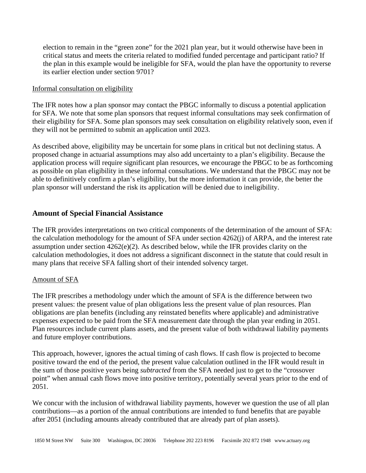election to remain in the "green zone" for the 2021 plan year, but it would otherwise have been in critical status and meets the criteria related to modified funded percentage and participant ratio? If the plan in this example would be ineligible for SFA, would the plan have the opportunity to reverse its earlier election under section 9701?

## Informal consultation on eligibility

The IFR notes how a plan sponsor may contact the PBGC informally to discuss a potential application for SFA. We note that some plan sponsors that request informal consultations may seek confirmation of their eligibility for SFA. Some plan sponsors may seek consultation on eligibility relatively soon, even if they will not be permitted to submit an application until 2023.

As described above, eligibility may be uncertain for some plans in critical but not declining status. A proposed change in actuarial assumptions may also add uncertainty to a plan's eligibility. Because the application process will require significant plan resources, we encourage the PBGC to be as forthcoming as possible on plan eligibility in these informal consultations. We understand that the PBGC may not be able to definitively confirm a plan's eligibility, but the more information it can provide, the better the plan sponsor will understand the risk its application will be denied due to ineligibility.

## **Amount of Special Financial Assistance**

The IFR provides interpretations on two critical components of the determination of the amount of SFA: the calculation methodology for the amount of SFA under section 4262(j) of ARPA, and the interest rate assumption under section 4262(e)(2). As described below, while the IFR provides clarity on the calculation methodologies, it does not address a significant disconnect in the statute that could result in many plans that receive SFA falling short of their intended solvency target.

## Amount of SFA

The IFR prescribes a methodology under which the amount of SFA is the difference between two present values: the present value of plan obligations less the present value of plan resources. Plan obligations are plan benefits (including any reinstated benefits where applicable) and administrative expenses expected to be paid from the SFA measurement date through the plan year ending in 2051. Plan resources include current plans assets, and the present value of both withdrawal liability payments and future employer contributions.

This approach, however, ignores the actual timing of cash flows. If cash flow is projected to become positive toward the end of the period, the present value calculation outlined in the IFR would result in the sum of those positive years being *subtracted* from the SFA needed just to get to the "crossover point" when annual cash flows move into positive territory, potentially several years prior to the end of 2051.

We concur with the inclusion of withdrawal liability payments, however we question the use of all plan contributions—as a portion of the annual contributions are intended to fund benefits that are payable after 2051 (including amounts already contributed that are already part of plan assets).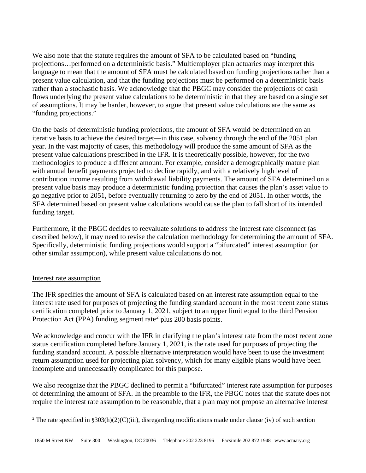We also note that the statute requires the amount of SFA to be calculated based on "funding projections…performed on a deterministic basis." Multiemployer plan actuaries may interpret this language to mean that the amount of SFA must be calculated based on funding projections rather than a present value calculation, and that the funding projections must be performed on a deterministic basis rather than a stochastic basis. We acknowledge that the PBGC may consider the projections of cash flows underlying the present value calculations to be deterministic in that they are based on a single set of assumptions. It may be harder, however, to argue that present value calculations are the same as "funding projections."

On the basis of deterministic funding projections, the amount of SFA would be determined on an iterative basis to achieve the desired target—in this case, solvency through the end of the 2051 plan year. In the vast majority of cases, this methodology will produce the same amount of SFA as the present value calculations prescribed in the IFR. It is theoretically possible, however, for the two methodologies to produce a different amount. For example, consider a demographically mature plan with annual benefit payments projected to decline rapidly, and with a relatively high level of contribution income resulting from withdrawal liability payments. The amount of SFA determined on a present value basis may produce a deterministic funding projection that causes the plan's asset value to go negative prior to 2051, before eventually returning to zero by the end of 2051. In other words, the SFA determined based on present value calculations would cause the plan to fall short of its intended funding target.

Furthermore, if the PBGC decides to reevaluate solutions to address the interest rate disconnect (as described below), it may need to revise the calculation methodology for determining the amount of SFA. Specifically, deterministic funding projections would support a "bifurcated" interest assumption (or other similar assumption), while present value calculations do not.

### Interest rate assumption

The IFR specifies the amount of SFA is calculated based on an interest rate assumption equal to the interest rate used for purposes of projecting the funding standard account in the most recent zone status certification completed prior to January 1, 2021, subject to an upper limit equal to the third Pension Protection Act (PPA) funding segment rate<sup>[2](#page-3-0)</sup> plus 200 basis points.

We acknowledge and concur with the IFR in clarifying the plan's interest rate from the most recent zone status certification completed before January 1, 2021, is the rate used for purposes of projecting the funding standard account. A possible alternative interpretation would have been to use the investment return assumption used for projecting plan solvency, which for many eligible plans would have been incomplete and unnecessarily complicated for this purpose.

We also recognize that the PBGC declined to permit a "bifurcated" interest rate assumption for purposes of determining the amount of SFA. In the preamble to the IFR, the PBGC notes that the statute does not require the interest rate assumption to be reasonable, that a plan may not propose an alternative interest

<span id="page-3-0"></span><sup>&</sup>lt;sup>2</sup> The rate specified in §303(h)(2)(C)(iii), disregarding modifications made under clause (iv) of such section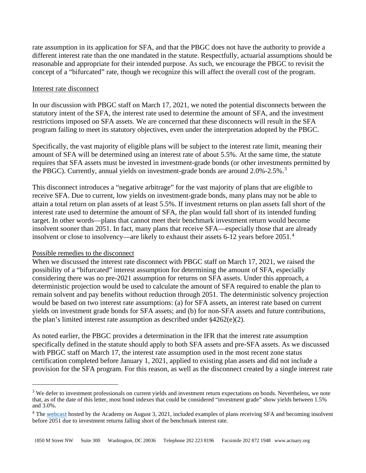rate assumption in its application for SFA, and that the PBGC does not have the authority to provide a different interest rate than the one mandated in the statute. Respectfully, actuarial assumptions should be reasonable and appropriate for their intended purpose. As such, we encourage the PBGC to revisit the concept of a "bifurcated" rate, though we recognize this will affect the overall cost of the program.

#### Interest rate disconnect

In our discussion with PBGC staff on March 17, 2021, we noted the potential disconnects between the statutory intent of the SFA, the interest rate used to determine the amount of SFA, and the investment restrictions imposed on SFA assets. We are concerned that these disconnects will result in the SFA program failing to meet its statutory objectives, even under the interpretation adopted by the PBGC.

Specifically, the vast majority of eligible plans will be subject to the interest rate limit, meaning their amount of SFA will be determined using an interest rate of about 5.5%. At the same time, the statute requires that SFA assets must be invested in investment-grade bonds (or other investments permitted by the PBGC). Currently, annual yields on investment-grade bonds are around 2.0%-2.5%.<sup>[3](#page-4-0)</sup>

This disconnect introduces a "negative arbitrage" for the vast majority of plans that are eligible to receive SFA. Due to current, low yields on investment-grade bonds, many plans may not be able to attain a total return on plan assets of at least 5.5%. If investment returns on plan assets fall short of the interest rate used to determine the amount of SFA, the plan would fall short of its intended funding target. In other words—plans that cannot meet their benchmark investment return would become insolvent sooner than 2051. In fact, many plans that receive SFA—especially those that are already insolvent or close to insolvency—are likely to exhaust their assets 6-12 years before 2051.<sup>[4](#page-4-1)</sup>

### Possible remedies to the disconnect

When we discussed the interest rate disconnect with PBGC staff on March 17, 2021, we raised the possibility of a "bifurcated" interest assumption for determining the amount of SFA, especially considering there was no pre-2021 assumption for returns on SFA assets. Under this approach, a deterministic projection would be used to calculate the amount of SFA required to enable the plan to remain solvent and pay benefits without reduction through 2051. The deterministic solvency projection would be based on two interest rate assumptions: (a) for SFA assets, an interest rate based on current yields on investment grade bonds for SFA assets; and (b) for non-SFA assets and future contributions, the plan's limited interest rate assumption as described under  $\frac{64262(e)}{2}$ .

As noted earlier, the PBGC provides a determination in the IFR that the interest rate assumption specifically defined in the statute should apply to both SFA assets and pre-SFA assets. As we discussed with PBGC staff on March 17, the interest rate assumption used in the most recent zone status certification completed before January 1, 2021, applied to existing plan assets and did not include a provision for the SFA program. For this reason, as well as the disconnect created by a single interest rate

<span id="page-4-0"></span><sup>&</sup>lt;sup>3</sup> We defer to investment professionals on current yields and investment return expectations on bonds. Nevertheless, we note that, as of the date of this letter, most bond indexes that could be considered "investment grade" show yields between 1.5% and 3.0%.

<span id="page-4-1"></span><sup>&</sup>lt;sup>4</sup> The [webcast](https://www.actuary.org/node/14346) hosted by the Academy on August 3, 2021, included examples of plans receiving SFA and becoming insolvent before 2051 due to investment returns falling short of the benchmark interest rate.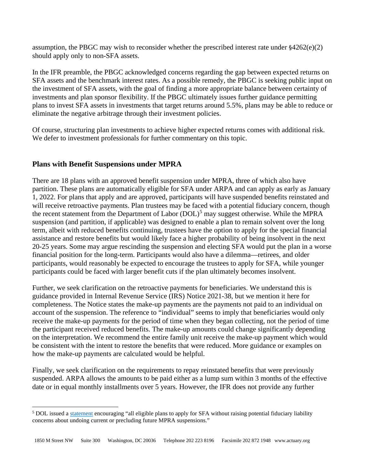assumption, the PBGC may wish to reconsider whether the prescribed interest rate under §4262(e)(2) should apply only to non-SFA assets.

In the IFR preamble, the PBGC acknowledged concerns regarding the gap between expected returns on SFA assets and the benchmark interest rates. As a possible remedy, the PBGC is seeking public input on the investment of SFA assets, with the goal of finding a more appropriate balance between certainty of investments and plan sponsor flexibility. If the PBGC ultimately issues further guidance permitting plans to invest SFA assets in investments that target returns around 5.5%, plans may be able to reduce or eliminate the negative arbitrage through their investment policies.

Of course, structuring plan investments to achieve higher expected returns comes with additional risk. We defer to investment professionals for further commentary on this topic.

# **Plans with Benefit Suspensions under MPRA**

There are 18 plans with an approved benefit suspension under MPRA, three of which also have partition. These plans are automatically eligible for SFA under ARPA and can apply as early as January 1, 2022. For plans that apply and are approved, participants will have suspended benefits reinstated and will receive retroactive payments. Plan trustees may be faced with a potential fiduciary concern, though the recent statement from the Department of Labor (DOL)<sup>[5](#page-5-0)</sup> may suggest otherwise. While the MPRA suspension (and partition, if applicable) was designed to enable a plan to remain solvent over the long term, albeit with reduced benefits continuing, trustees have the option to apply for the special financial assistance and restore benefits but would likely face a higher probability of being insolvent in the next 20-25 years. Some may argue rescinding the suspension and electing SFA would put the plan in a worse financial position for the long-term. Participants would also have a dilemma—retirees, and older participants, would reasonably be expected to encourage the trustees to apply for SFA, while younger participants could be faced with larger benefit cuts if the plan ultimately becomes insolvent.

Further, we seek clarification on the retroactive payments for beneficiaries. We understand this is guidance provided in Internal Revenue Service (IRS) Notice 2021-38, but we mention it here for completeness. The Notice states the make-up payments are the payments not paid to an individual on account of the suspension. The reference to "individual" seems to imply that beneficiaries would only receive the make-up payments for the period of time when they began collecting, not the period of time the participant received reduced benefits. The make-up amounts could change significantly depending on the interpretation. We recommend the entire family unit receive the make-up payment which would be consistent with the intent to restore the benefits that were reduced. More guidance or examples on how the make-up payments are calculated would be helpful.

Finally, we seek clarification on the requirements to repay reinstated benefits that were previously suspended. ARPA allows the amounts to be paid either as a lump sum within 3 months of the effective date or in equal monthly installments over 5 years. However, the IFR does not provide any further

<span id="page-5-0"></span><sup>&</sup>lt;sup>5</sup> DOL issued a [statement](https://www.dol.gov/agencies/ebsa/laws-and-regulations/laws/arp/dol-statement-on-pbgc-special-financial-assistance-interim-final-rule) encouraging "all eligible plans to apply for SFA without raising potential fiduciary liability concerns about undoing current or precluding future MPRA suspensions."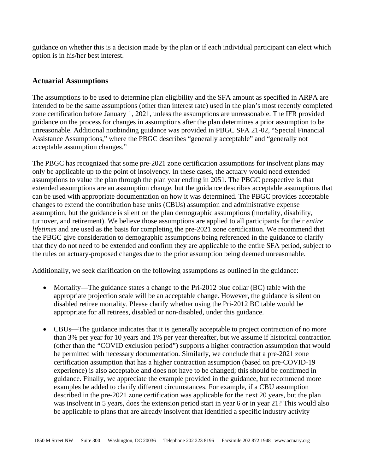guidance on whether this is a decision made by the plan or if each individual participant can elect which option is in his/her best interest.

## **Actuarial Assumptions**

The assumptions to be used to determine plan eligibility and the SFA amount as specified in ARPA are intended to be the same assumptions (other than interest rate) used in the plan's most recently completed zone certification before January 1, 2021, unless the assumptions are unreasonable. The IFR provided guidance on the process for changes in assumptions after the plan determines a prior assumption to be unreasonable. Additional nonbinding guidance was provided in PBGC SFA 21-02, "Special Financial Assistance Assumptions," where the PBGC describes "generally acceptable" and "generally not acceptable assumption changes."

The PBGC has recognized that some pre-2021 zone certification assumptions for insolvent plans may only be applicable up to the point of insolvency. In these cases, the actuary would need extended assumptions to value the plan through the plan year ending in 2051. The PBGC perspective is that extended assumptions are an assumption change, but the guidance describes acceptable assumptions that can be used with appropriate documentation on how it was determined. The PBGC provides acceptable changes to extend the contribution base units (CBUs) assumption and administrative expense assumption, but the guidance is silent on the plan demographic assumptions (mortality, disability, turnover, and retirement). We believe those assumptions are applied to all participants for their *entire lifetimes* and are used as the basis for completing the pre-2021 zone certification. We recommend that the PBGC give consideration to demographic assumptions being referenced in the guidance to clarify that they do not need to be extended and confirm they are applicable to the entire SFA period, subject to the rules on actuary-proposed changes due to the prior assumption being deemed unreasonable.

Additionally, we seek clarification on the following assumptions as outlined in the guidance:

- Mortality—The guidance states a change to the Pri-2012 blue collar (BC) table with the appropriate projection scale will be an acceptable change. However, the guidance is silent on disabled retiree mortality. Please clarify whether using the Pri-2012 BC table would be appropriate for all retirees, disabled or non-disabled, under this guidance.
- CBUs—The guidance indicates that it is generally acceptable to project contraction of no more than 3% per year for 10 years and 1% per year thereafter, but we assume if historical contraction (other than the "COVID exclusion period") supports a higher contraction assumption that would be permitted with necessary documentation. Similarly, we conclude that a pre-2021 zone certification assumption that has a higher contraction assumption (based on pre-COVID-19 experience) is also acceptable and does not have to be changed; this should be confirmed in guidance. Finally, we appreciate the example provided in the guidance, but recommend more examples be added to clarify different circumstances. For example, if a CBU assumption described in the pre-2021 zone certification was applicable for the next 20 years, but the plan was insolvent in 5 years, does the extension period start in year 6 or in year 21? This would also be applicable to plans that are already insolvent that identified a specific industry activity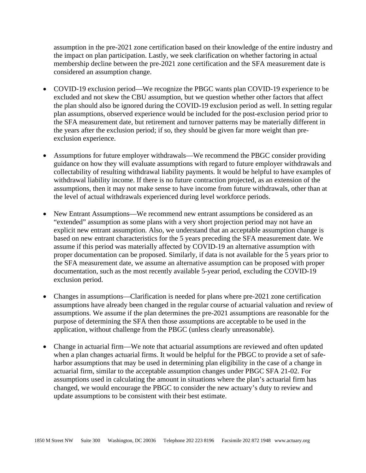assumption in the pre-2021 zone certification based on their knowledge of the entire industry and the impact on plan participation. Lastly, we seek clarification on whether factoring in actual membership decline between the pre-2021 zone certification and the SFA measurement date is considered an assumption change.

- COVID-19 exclusion period—We recognize the PBGC wants plan COVID-19 experience to be excluded and not skew the CBU assumption, but we question whether other factors that affect the plan should also be ignored during the COVID-19 exclusion period as well. In setting regular plan assumptions, observed experience would be included for the post-exclusion period prior to the SFA measurement date, but retirement and turnover patterns may be materially different in the years after the exclusion period; if so, they should be given far more weight than preexclusion experience.
- Assumptions for future employer withdrawals—We recommend the PBGC consider providing guidance on how they will evaluate assumptions with regard to future employer withdrawals and collectability of resulting withdrawal liability payments. It would be helpful to have examples of withdrawal liability income. If there is no future contraction projected, as an extension of the assumptions, then it may not make sense to have income from future withdrawals, other than at the level of actual withdrawals experienced during level workforce periods.
- New Entrant Assumptions—We recommend new entrant assumptions be considered as an "extended" assumption as some plans with a very short projection period may not have an explicit new entrant assumption. Also, we understand that an acceptable assumption change is based on new entrant characteristics for the 5 years preceding the SFA measurement date. We assume if this period was materially affected by COVID-19 an alternative assumption with proper documentation can be proposed. Similarly, if data is not available for the 5 years prior to the SFA measurement date, we assume an alternative assumption can be proposed with proper documentation, such as the most recently available 5-year period, excluding the COVID-19 exclusion period.
- Changes in assumptions—Clarification is needed for plans where pre-2021 zone certification assumptions have already been changed in the regular course of actuarial valuation and review of assumptions. We assume if the plan determines the pre-2021 assumptions are reasonable for the purpose of determining the SFA then those assumptions are acceptable to be used in the application, without challenge from the PBGC (unless clearly unreasonable).
- Change in actuarial firm—We note that actuarial assumptions are reviewed and often updated when a plan changes actuarial firms. It would be helpful for the PBGC to provide a set of safeharbor assumptions that may be used in determining plan eligibility in the case of a change in actuarial firm, similar to the acceptable assumption changes under PBGC SFA 21-02. For assumptions used in calculating the amount in situations where the plan's actuarial firm has changed, we would encourage the PBGC to consider the new actuary's duty to review and update assumptions to be consistent with their best estimate.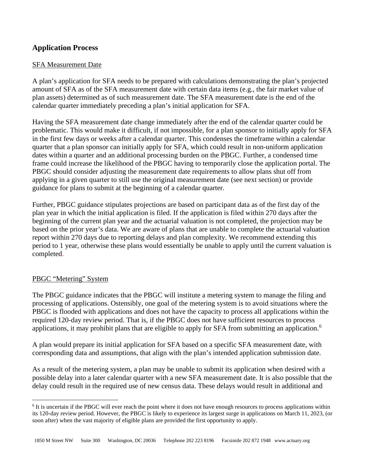## **Application Process**

### SFA Measurement Date

A plan's application for SFA needs to be prepared with calculations demonstrating the plan's projected amount of SFA as of the SFA measurement date with certain data items (e.g., the fair market value of plan assets) determined as of such measurement date. The SFA measurement date is the end of the calendar quarter immediately preceding a plan's initial application for SFA.

Having the SFA measurement date change immediately after the end of the calendar quarter could be problematic. This would make it difficult, if not impossible, for a plan sponsor to initially apply for SFA in the first few days or weeks after a calendar quarter. This condenses the timeframe within a calendar quarter that a plan sponsor can initially apply for SFA, which could result in non-uniform application dates within a quarter and an additional processing burden on the PBGC. Further, a condensed time frame could increase the likelihood of the PBGC having to temporarily close the application portal. The PBGC should consider adjusting the measurement date requirements to allow plans shut off from applying in a given quarter to still use the original measurement date (see next section) or provide guidance for plans to submit at the beginning of a calendar quarter.

Further, PBGC guidance stipulates projections are based on participant data as of the first day of the plan year in which the initial application is filed. If the application is filed within 270 days after the beginning of the current plan year and the actuarial valuation is not completed, the projection may be based on the prior year's data. We are aware of plans that are unable to complete the actuarial valuation report within 270 days due to reporting delays and plan complexity. We recommend extending this period to 1 year, otherwise these plans would essentially be unable to apply until the current valuation is completed.

### PBGC "Metering" System

The PBGC guidance indicates that the PBGC will institute a metering system to manage the filing and processing of applications. Ostensibly, one goal of the metering system is to avoid situations where the PBGC is flooded with applications and does not have the capacity to process all applications within the required 120-day review period. That is, if the PBGC does not have sufficient resources to process applications, it may prohibit plans that are eligible to apply for SFA from submitting an application.<sup>[6](#page-8-0)</sup>

A plan would prepare its initial application for SFA based on a specific SFA measurement date, with corresponding data and assumptions, that align with the plan's intended application submission date.

As a result of the metering system, a plan may be unable to submit its application when desired with a possible delay into a later calendar quarter with a new SFA measurement date. It is also possible that the delay could result in the required use of new census data. These delays would result in additional and

<span id="page-8-0"></span><sup>&</sup>lt;sup>6</sup> It is uncertain if the PBGC will ever reach the point where it does not have enough resources to process applications within its 120-day review period. However, the PBGC is likely to experience its largest surge in applications on March 11, 2023, (or soon after) when the vast majority of eligible plans are provided the first opportunity to apply.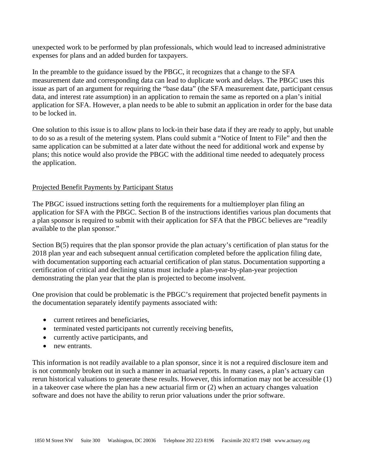unexpected work to be performed by plan professionals, which would lead to increased administrative expenses for plans and an added burden for taxpayers.

In the preamble to the guidance issued by the PBGC, it recognizes that a change to the SFA measurement date and corresponding data can lead to duplicate work and delays. The PBGC uses this issue as part of an argument for requiring the "base data" (the SFA measurement date, participant census data, and interest rate assumption) in an application to remain the same as reported on a plan's initial application for SFA. However, a plan needs to be able to submit an application in order for the base data to be locked in.

One solution to this issue is to allow plans to lock-in their base data if they are ready to apply, but unable to do so as a result of the metering system. Plans could submit a "Notice of Intent to File" and then the same application can be submitted at a later date without the need for additional work and expense by plans; this notice would also provide the PBGC with the additional time needed to adequately process the application.

## Projected Benefit Payments by Participant Status

The PBGC issued instructions setting forth the requirements for a multiemployer plan filing an application for SFA with the PBGC. Section B of the instructions identifies various plan documents that a plan sponsor is required to submit with their application for SFA that the PBGC believes are "readily available to the plan sponsor."

Section B(5) requires that the plan sponsor provide the plan actuary's certification of plan status for the 2018 plan year and each subsequent annual certification completed before the application filing date, with documentation supporting each actuarial certification of plan status. Documentation supporting a certification of critical and declining status must include a plan-year-by-plan-year projection demonstrating the plan year that the plan is projected to become insolvent.

One provision that could be problematic is the PBGC's requirement that projected benefit payments in the documentation separately identify payments associated with:

- current retirees and beneficiaries.
- terminated vested participants not currently receiving benefits,
- currently active participants, and
- new entrants.

This information is not readily available to a plan sponsor, since it is not a required disclosure item and is not commonly broken out in such a manner in actuarial reports. In many cases, a plan's actuary can rerun historical valuations to generate these results. However, this information may not be accessible (1) in a takeover case where the plan has a new actuarial firm or (2) when an actuary changes valuation software and does not have the ability to rerun prior valuations under the prior software.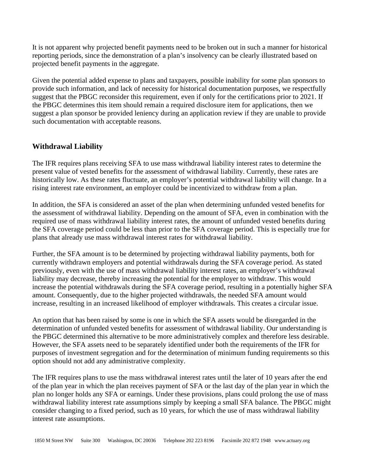It is not apparent why projected benefit payments need to be broken out in such a manner for historical reporting periods, since the demonstration of a plan's insolvency can be clearly illustrated based on projected benefit payments in the aggregate.

Given the potential added expense to plans and taxpayers, possible inability for some plan sponsors to provide such information, and lack of necessity for historical documentation purposes, we respectfully suggest that the PBGC reconsider this requirement, even if only for the certifications prior to 2021. If the PBGC determines this item should remain a required disclosure item for applications, then we suggest a plan sponsor be provided leniency during an application review if they are unable to provide such documentation with acceptable reasons.

# **Withdrawal Liability**

The IFR requires plans receiving SFA to use mass withdrawal liability interest rates to determine the present value of vested benefits for the assessment of withdrawal liability. Currently, these rates are historically low. As these rates fluctuate, an employer's potential withdrawal liability will change. In a rising interest rate environment, an employer could be incentivized to withdraw from a plan.

In addition, the SFA is considered an asset of the plan when determining unfunded vested benefits for the assessment of withdrawal liability. Depending on the amount of SFA, even in combination with the required use of mass withdrawal liability interest rates, the amount of unfunded vested benefits during the SFA coverage period could be less than prior to the SFA coverage period. This is especially true for plans that already use mass withdrawal interest rates for withdrawal liability.

Further, the SFA amount is to be determined by projecting withdrawal liability payments, both for currently withdrawn employers and potential withdrawals during the SFA coverage period. As stated previously, even with the use of mass withdrawal liability interest rates, an employer's withdrawal liability may decrease, thereby increasing the potential for the employer to withdraw. This would increase the potential withdrawals during the SFA coverage period, resulting in a potentially higher SFA amount. Consequently, due to the higher projected withdrawals, the needed SFA amount would increase, resulting in an increased likelihood of employer withdrawals. This creates a circular issue.

An option that has been raised by some is one in which the SFA assets would be disregarded in the determination of unfunded vested benefits for assessment of withdrawal liability. Our understanding is the PBGC determined this alternative to be more administratively complex and therefore less desirable. However, the SFA assets need to be separately identified under both the requirements of the IFR for purposes of investment segregation and for the determination of minimum funding requirements so this option should not add any administrative complexity.

The IFR requires plans to use the mass withdrawal interest rates until the later of 10 years after the end of the plan year in which the plan receives payment of SFA or the last day of the plan year in which the plan no longer holds any SFA or earnings. Under these provisions, plans could prolong the use of mass withdrawal liability interest rate assumptions simply by keeping a small SFA balance. The PBGC might consider changing to a fixed period, such as 10 years, for which the use of mass withdrawal liability interest rate assumptions.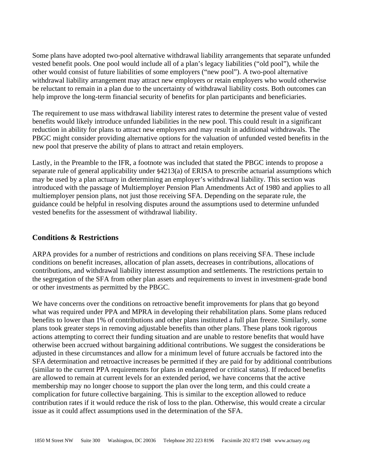Some plans have adopted two-pool alternative withdrawal liability arrangements that separate unfunded vested benefit pools. One pool would include all of a plan's legacy liabilities ("old pool"), while the other would consist of future liabilities of some employers ("new pool"). A two-pool alternative withdrawal liability arrangement may attract new employers or retain employers who would otherwise be reluctant to remain in a plan due to the uncertainty of withdrawal liability costs. Both outcomes can help improve the long-term financial security of benefits for plan participants and beneficiaries.

The requirement to use mass withdrawal liability interest rates to determine the present value of vested benefits would likely introduce unfunded liabilities in the new pool. This could result in a significant reduction in ability for plans to attract new employers and may result in additional withdrawals. The PBGC might consider providing alternative options for the valuation of unfunded vested benefits in the new pool that preserve the ability of plans to attract and retain employers.

Lastly, in the Preamble to the IFR, a footnote was included that stated the PBGC intends to propose a separate rule of general applicability under §4213(a) of ERISA to prescribe actuarial assumptions which may be used by a plan actuary in determining an employer's withdrawal liability. This section was introduced with the passage of Multiemployer Pension Plan Amendments Act of 1980 and applies to all multiemployer pension plans, not just those receiving SFA. Depending on the separate rule, the guidance could be helpful in resolving disputes around the assumptions used to determine unfunded vested benefits for the assessment of withdrawal liability.

## **Conditions & Restrictions**

ARPA provides for a number of restrictions and conditions on plans receiving SFA. These include conditions on benefit increases, allocation of plan assets, decreases in contributions, allocations of contributions, and withdrawal liability interest assumption and settlements. The restrictions pertain to the segregation of the SFA from other plan assets and requirements to invest in investment-grade bond or other investments as permitted by the PBGC.

We have concerns over the conditions on retroactive benefit improvements for plans that go beyond what was required under PPA and MPRA in developing their rehabilitation plans. Some plans reduced benefits to lower than 1% of contributions and other plans instituted a full plan freeze. Similarly, some plans took greater steps in removing adjustable benefits than other plans. These plans took rigorous actions attempting to correct their funding situation and are unable to restore benefits that would have otherwise been accrued without bargaining additional contributions. We suggest the considerations be adjusted in these circumstances and allow for a minimum level of future accruals be factored into the SFA determination and retroactive increases be permitted if they are paid for by additional contributions (similar to the current PPA requirements for plans in endangered or critical status). If reduced benefits are allowed to remain at current levels for an extended period, we have concerns that the active membership may no longer choose to support the plan over the long term, and this could create a complication for future collective bargaining. This is similar to the exception allowed to reduce contribution rates if it would reduce the risk of loss to the plan. Otherwise, this would create a circular issue as it could affect assumptions used in the determination of the SFA.